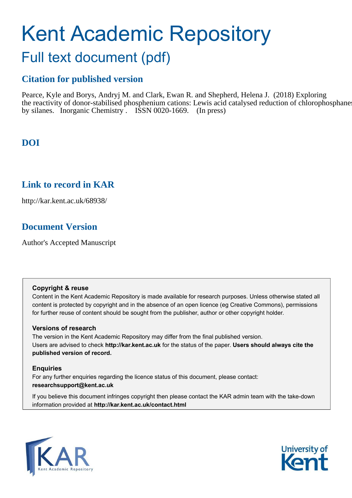# Kent Academic Repository

## Full text document (pdf)

## **Citation for published version**

Pearce, Kyle and Borys, Andryj M. and Clark, Ewan R. and Shepherd, Helena J. (2018) Exploring the reactivity of donor-stabilised phosphenium cations: Lewis acid catalysed reduction of chlorophosphanes by silanes. Inorganic Chemistry. ISSN 0020-1669. (In press)

## **DOI**

## **Link to record in KAR**

http://kar.kent.ac.uk/68938/

## **Document Version**

Author's Accepted Manuscript

#### **Copyright & reuse**

Content in the Kent Academic Repository is made available for research purposes. Unless otherwise stated all content is protected by copyright and in the absence of an open licence (eg Creative Commons), permissions for further reuse of content should be sought from the publisher, author or other copyright holder.

#### **Versions of research**

The version in the Kent Academic Repository may differ from the final published version. Users are advised to check **http://kar.kent.ac.uk** for the status of the paper. **Users should always cite the published version of record.**

#### **Enquiries**

For any further enquiries regarding the licence status of this document, please contact: **researchsupport@kent.ac.uk**

If you believe this document infringes copyright then please contact the KAR admin team with the take-down information provided at **http://kar.kent.ac.uk/contact.html**



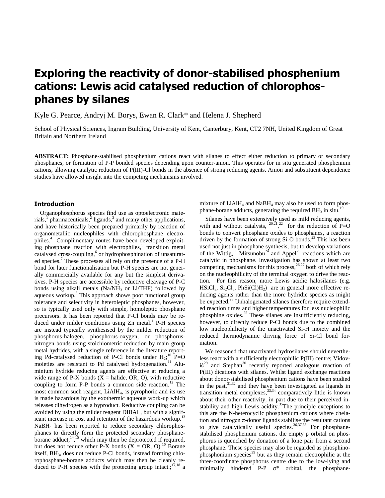## **Exploring the reactivity of donor-stabilised phosphenium cations: Lewis acid catalysed reduction of chlorophosphanes by silanes**

Kyle G. Pearce, Andryj M. Borys, Ewan R. Clark\* and Helena J. Shepherd

School of Physical Sciences, Ingram Building, University of Kent, Canterbury, Kent, CT2 7NH, United Kingdom of Great Britain and Northern Ireland

**ABSTRACT:** Phosphane-stabilised phosphenium cations react with silanes to effect either reduction to primary or secondary phosphanes, or formation of P-P bonded species depending upon counter-anion. This operates for in situ generated phosphenium cations, allowing catalytic reduction of P(III)-Cl bonds in the absence of strong reducing agents. Anion and substituent dependence studies have allowed insight into the competing mechanisms involved.

#### **Introduction**

Organophosphorus species find use as optoelectronic materials, pharmaceuticals,<sup>2</sup> ligands,<sup>3</sup> and many other applications, and have historically been prepared primarily by reaction of organometallic nucleophiles with chlorophosphane electrophiles.<sup>4</sup> Complimentary routes have been developed exploiting phosphane reaction with electrophiles,<sup>5</sup> transition metal catalysed cross-coupling,<sup>6</sup> or hydrophosphination of unsaturated species.<sup>7</sup> These processes all rely on the presence of a P-H bond for later functionalisation but P-H species are not generally commercially available for any but the simplest derivatives. P-H species are accessible by reductive cleavage of P-C bonds using alkali metals (Na/NH<sub>3</sub> or Li/THF) followed by aqueous workup.<sup>8</sup> This approach shows poor functional group tolerance and selectivity in heteroleptic phosphanes, however, so is typically used only with simple, homoleptic phosphane precursors. It has been reported that P-Cl bonds may be reduced under milder conditions using Zn metal.<sup>9</sup> P-H species are instead typically synthesised by the milder reduction of phosphorus-halogen, phosphorus-oxygen, or phosphorusnitrogen bonds using stoichiometric reduction by main group metal hydrides, with a single reference in the literature reporting Pd-catalysed reduction of P-Cl bonds under  $H_2$ ;<sup>10</sup> P=O moieties are resistant to Pd catalysed hydrogenation.<sup>11</sup> Aluminium hydride reducing agents are effective at reducing a wide range of P-X bonds  $(X = \text{halide}, \text{OR}, \text{O})$ , with reductive coupling to form P-P bonds a common side reaction.<sup>12</sup> The most common such reagent, LiAlH<sup>4</sup> , is pyrophoric and its use is made hazardous by the exothermic aqueous work-up which releases dihydrogen as a byproduct. Reductive coupling can be avoided by using the milder reagent DIBAL, but with a significant increase in cost and retention of the hazardous workup.<sup>13</sup> NaBH<sup>4</sup> has been reported to reduce secondary chlorophosphanes to directly form the protected secondary phosphaneborane adduct,  $14^{4}$ , is which may then be deprotected if required, but does not reduce other P-X bonds  $(X = OR, 0)$ .<sup>16</sup> Borane itself, BH<sub>3</sub>, does not reduce P-Cl bonds, instead forming chlorophosphane-borane adducts which may then be cleanly reduced to P-H species with the protecting group intact.;<sup>17,18</sup> a mixture of  $LiAlH<sub>4</sub>$  and NaBH<sub>4</sub> may also be used to form phosphane-borane adducts, generating the required  $BH<sub>3</sub>$  in situ.<sup>19</sup>

Silanes have been extensively used as mild reducing agents, with and without catalysts,  $\frac{20,21,22}{1}$  for the reduction of P=O bonds to convert phosphane oxides to phosphanes, a reaction driven by the formation of strong  $Si-O$  bonds.<sup>23</sup> This has been used not just in phosphane synthesis, but to develop variations of the Wittig,<sup>11</sup> Mitsunobu<sup>24</sup> and Appel<sup>25</sup> reactions which are catalytic in phosphane. Investigation has shown at least two competing mechanisms for this process,<sup>26,27</sup> both of which rely on the nucleophilicity of the terminal oxygen to drive the reaction. For this reason, more Lewis acidic halosilanes (e.g.  $HSiCl_3$ ,  $Si_2Cl_6$ ,  $PhSi(Cl)H_2$ ) are in general more effective reducing agents rather than the more hydridic species as might be expected.<sup>28</sup> Unhalogenated silanes therefore require extended reaction times and higher temperatures for less nucleophilic phosphine oxides.<sup>25</sup> These silanes are insufficiently reducing, however, to directly reduce P-Cl bonds due to the combined low nucleophilicity of the unactivated Si-H moiety and the reduced thermodynamic driving force of Si-Cl bond formation.

We reasoned that unactivated hydrosilanes should nevertheless react with a sufficiently electrophilic P(III) centre; Vidović<sup>29</sup> and Stephan<sup>30</sup> recently reported analogous reaction of P(III) dications with silanes. Whilst ligand exchange reactions about donor-stabilised phosphenium cations have been studied in the past,  $31,32$  and they have been investigated as ligands in transition metal complexes,  $33,34$  comparatively little is known about their other reactivity, in part due to their perceived instability and high Lewis acidity.<sup>35</sup>The principle exceptions to this are the N-heterocyclic phosphenium cations where chelation and nitrogen  $\pi$ -donor ligands stabilise the resultant cations to give catalytically useful species.<sup>36,37,38</sup> For phosphanestabilised phosphenium cations, the empty p orbital on phosphorus is quenched by donation of a lone pair from a second phosphane. These species may also be regarded as phosphinophosphonium species<sup>39</sup> but as they remain electrophilic at the three-coordinate phosphorus centre due to the low-lying and minimally hindered P-P  $\sigma^*$  orbital, the phosphane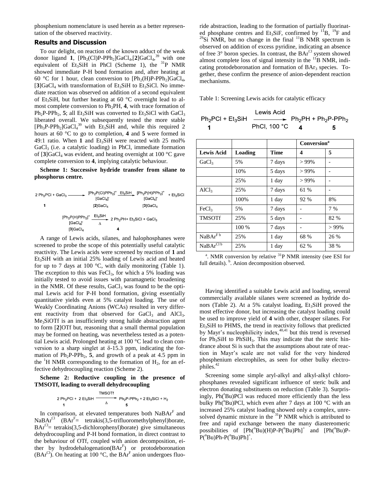phosphenium nomenclature is used herein as a better representation of the observed reactivity.

#### **Results and Discussion**

To our delight, on reaction of the known adduct of the weak donor ligand **1**,  $[Ph_2(CI)P-PPh_2]GaCl_4$ ,  $[2]GaCl_4$ , <sup>39</sup> with one equivalent of Et<sub>3</sub>SiH in PhCl (Scheme 1), the  $^{31}P$  NMR showed immediate P-H bond formation and, after heating at 60 °C for 1 hour, clean conversion to  $[Ph_2(H)P-PPh_2]GaCl_4$ ,  $[3]$ GaCl<sub>4</sub> with transformation of Et<sub>3</sub>SiH to Et<sub>3</sub>SiCl. No immediate reaction was observed on addition of a second equivalent of Et<sub>3</sub>SiH, but further heating at 60  $\degree$ C overnight lead to almost complete conversion to Ph<sub>2</sub>PH, 4, with trace formation of  $Ph_2P-PPh_2$ , 5; all Et<sub>3</sub>SiH was converted to Et<sub>3</sub>SiCl with GaCl<sub>3</sub> liberated overall. We subsequently tested the more stable  $[Ph_3P-PPh_2]GaCl<sub>4</sub><sup>39</sup>$  with Et<sub>3</sub>SiH and, while this required 2 hours at 60 °C to go to completion, **4** and **5** were formed in 49:1 ratio. When 1 and  $Et_3SH$  were reacted with 25 mol%  $GaCl<sub>3</sub>$  (i.e. a catalytic loading) in PhCl, immediate formation of  $[3]GaCl_4$  was evident, and heating overnight at 100 °C gave complete conversion to **4**, implying catalytic behaviour.

**Scheme 1: Successive hydride transfer from silane to phosphorus centre.** 

| 2 Ph <sub>2</sub> PCI + GaCl <sub>3</sub> $\_\_$ | <b>IGaCl<sub>4</sub></b>                                                                                                                                                                        | $[Ph_2P(Cl)PPh_2]^+$ $Et_3SiH$ $[Ph_2P(H)PPh_2]^+$<br>[GaCl』 | $+ Et3SiCl$ |
|--------------------------------------------------|-------------------------------------------------------------------------------------------------------------------------------------------------------------------------------------------------|--------------------------------------------------------------|-------------|
| 1                                                | $[2]$ GaCl <sub>4</sub>                                                                                                                                                                         | $[3]$ GaCl <sub>4</sub>                                      |             |
|                                                  | $[{\mathsf{Ph}}_2{\mathsf{P}}({\mathsf{H}}){\mathsf{P}}{\mathsf{Ph}}_2]^+ \underline{\phantom{0}\mathsf{E}}{}^{\mathsf{t}_3{\mathsf{S}}{\mathsf{i}}{\mathsf{H}}}.$<br>[GaCl <sub>4</sub> ]<br>Δ | $2 Ph_2PH+ Et_3SiCl + GaCl_3$                                |             |
|                                                  | $[3]$ GaCl $_4$                                                                                                                                                                                 | 4                                                            |             |

A range of Lewis acids, silanes, and halophosphanes were screened to probe the scope of this potentially useful catalytic reactivity. The Lewis acids were screened by reaction of **1** and  $Et<sub>3</sub>SiH$  with an initial 25% loading of Lewis acid and heated for up to 7 days at 100  $^{\circ}$ C, with daily monitoring (Table 1). The exception to this was  $FeCl<sub>3</sub>$ , for which a 5% loading was initially tested to avoid issues with paramagnetic broadening in the NMR. Of these results,  $GaCl<sub>3</sub>$  was found to be the optimal Lewis acid for P-H bond formation, giving essentially quantitative yields even at 5% catalyst loading. The use of Weakly Coordinating Anions (WCAs) resulted in very different reactivity from that observed for  $GaCl<sub>3</sub>$  and  $AlCl<sub>3</sub>$ . Me<sub>3</sub>SiOTf is an insufficiently strong halide abstraction agent to form [**2**]OTf but, reasoning that a small thermal population may be formed on heating, was nevertheless tested as a potential Lewis acid. Prolonged heating at 100 °C lead to clean conversion to a sharp singlet at  $\delta$ -15.3 ppm, indicating the formation of  $Ph_2P-PPh_2$ , 5, and growth of a peak at 4.5 ppm in the  ${}^{1}H$  NMR corresponding to the formation of  $H_2$ , for an effective dehydrocoupling reaction (Scheme 2).

**Scheme 2: Reductive coupling in the presence of TMSOTf, leading to overall dehydrocoupling**

$$
2 Ph_2PCI + 2 Et_3SIH \xrightarrow{\text{TMSOTH}} Ph_2P-PPh_2 + 2 Et_3SiCl + H_2
$$

In comparison, at elevated temperatures both NaBAr<sup>F</sup> and NaBAr<sup>Cl</sup> (BAr<sup>F</sup>= tetrakis(3,5-trifluoromethylphenyl)borate,  $BAT<sup>Cl</sup>$  = tetrakis(3,5-dichlorophenyl)borate) give simultaneous dehydrocoupling and P-H bond formation, in direct contrast to the behaviour of OTf, coupled with anion decomposition, either by hydrodehalogenation $(BAr^F)$  or protodeboronation (BAr<sup>Cl</sup>). On heating at 100 °C, the BAr<sup>F</sup> anion undergoes fluo-

ride abstraction, leading to the formation of partially fluorinated phosphane centres and Et<sub>3</sub>SiF, confirmed by  $^{11}B$ ,  $^{19}F$  and  $^{29}Si$  NMR, but no change in the final  $^{11}B$  NMR spectrum is observed on addition of excess pyridine, indicating an absence of free  $3^{\circ}$  boron species. In contrast, the BA $r^{\text{Cl}}$  system showed almost complete loss of signal intensity in the  ${}^{11}B$  NMR, indicating protodeboronation and formation of BAr<sub>3</sub> species. Together, these confirm the presence of anion-dependent reaction mechanisms.

Table 1: Screening Lewis acids for catalytic efficacy

|                                                                                                            | Lewis Acid   |    |
|------------------------------------------------------------------------------------------------------------|--------------|----|
| $Ph_2$ PCI + Et <sub>3</sub> SiH $\longrightarrow$ Ph <sub>2</sub> PH + Ph <sub>2</sub> P-PPh <sub>2</sub> |              |    |
|                                                                                                            | PhCl, 100 °C | -5 |

|                         |         |             | <b>Conversion</b> <sup>a</sup> |         |
|-------------------------|---------|-------------|--------------------------------|---------|
| <b>Lewis Acid</b>       | Loading | <b>Time</b> | 4                              | 5       |
| GaCl <sub>3</sub>       | 5%      | 7 days      | $>99\%$                        |         |
|                         | 10%     | 5 days      | $>99\%$                        |         |
|                         | 25%     | 1 day       | $>99\%$                        |         |
| AICl <sub>3</sub>       | 25%     | 7 days      | 61 %                           | -       |
|                         | 100%    | 1 day       | 92 %                           | 8%      |
| FeCl <sub>3</sub>       | 5%      | 7 days      |                                | 7 %     |
| <b>TMSOTf</b>           | 25%     | 5 days      |                                | 82 %    |
|                         | 100 %   | 7 days      |                                | $>99\%$ |
| $NaBAr^{\overline{Fb}}$ | 25%     | 1 day       | 68 %                           | 26 %    |
| NaBArCl b               | 25%     | 1 day       | 62 %                           | 38 %    |

 $\alpha$ . NMR conversion by relative  $\alpha$ <sup>31</sup>P NMR intensity (see ESI for full details). <sup>b</sup>. Anion decomposition observed.

Having identified a suitable Lewis acid and loading, several commercially available silanes were screened as hydride donors (Table 2). At a 5% catalyst loading,  $Et<sub>3</sub>SiH$  proved the most effective donor, but increasing the catalyst loading could be used to improve yield of **4** with other, cheaper silanes. For Et3SiH to PHMS, the trend in reactivity follows that predicted by Mayr's nucleophilicity index, $40,41$  but this trend is reversed for  $Ph_3SiH$  to  $PhSiH_3$ . This may indicate that the steric hindrance about Si is such that the assumptions about rate of reaction in Mayr's scale are not valid for the very hindered phosphenium electrophiles, as seen for other bulky electrophiles.<sup>42</sup>

Screening some simple aryl-alkyl and alkyl-alkyl chlorophosphanes revealed significant influence of steric bulk and electron donating substituents on reduction (Table 3). Surprisingly,  $Ph(^tBu)PCl$  was reduced more efficiently than the less bulky Ph( $n$ Bu)PCl, which even after 7 days at 100 °C with an increased 25% catalyst loading showed only a complex, unresolved dynamic mixture in the  $31P$  NMR which is attributed to free and rapid exchange between the many diastereomeric possibilities of  $[Ph(^{n}Bu)(H)P-P(^{n}Bu)Ph]^{+}$  and  $[Ph(^{n}Bu)P \mathrm{P}(\mathrm{B}^n\mathrm{B}^n)\mathrm{P}^n\mathrm{B}^n\mathrm{P}^n\mathrm{B}^n\mathrm{P}^n\mathrm{B}^n$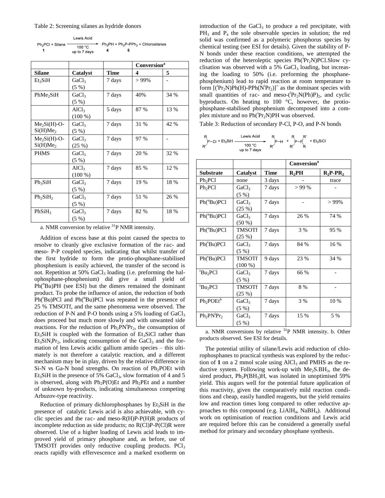#### Table 2: Screening silanes as hydride donors

|                   | Lewis Acid             |  |                                                                                       |
|-------------------|------------------------|--|---------------------------------------------------------------------------------------|
| $Ph2PCI + Silane$ | 100 °C<br>up to 7 days |  | $\rightarrow$ Ph <sub>2</sub> PH + Ph <sub>2</sub> P-PPh <sub>2</sub> + Chlorosilanes |

|                                  |                   |        | <b>Conversion</b> <sup>a</sup> |      |
|----------------------------------|-------------------|--------|--------------------------------|------|
| <b>Silane</b>                    | Catalyst          | Time   | 4                              | 5    |
| Et <sub>3</sub> SiH              | GaCl <sub>3</sub> | 7 days | $>99\%$                        |      |
|                                  | $(5 \%)$          |        |                                |      |
| PhMe <sub>2</sub> SiH            | GaCl <sub>3</sub> | 7 days | 40%                            | 34 % |
|                                  | $(5 \%)$          |        |                                |      |
|                                  | AlCl <sub>3</sub> | 5 days | 87 %                           | 13 % |
|                                  | $(100\%)$         |        |                                |      |
| $Me2Si(H)-O-$                    | GaCl <sub>3</sub> | 7 days | 31 %                           | 42 % |
| Si(H)Me <sub>2</sub>             | $(5 \%)$          |        |                                |      |
| $Me2Si(H)-O-$                    | GaCl <sub>3</sub> | 7 days | 97 %                           |      |
| Si(H)Me <sub>2</sub>             | (25%)             |        |                                |      |
| <b>PHMS</b>                      | GaCl <sub>3</sub> | 7 days | 20 %                           | 32 % |
|                                  | $(5 \%)$          |        |                                |      |
|                                  | AICl <sub>3</sub> | 7 days | 85 %                           | 12 % |
|                                  | $(100\%)$         |        |                                |      |
| $Ph_3SiH$                        | GaCl <sub>3</sub> | 7 days | 19 %                           | 18 % |
|                                  | (5%)              |        |                                |      |
| Ph <sub>2</sub> SiH <sub>2</sub> | GaCl <sub>3</sub> | 7 days | 51 %                           | 26 % |
|                                  | (5%)              |        |                                |      |
| PhSiH <sub>3</sub>               | GaCl <sub>3</sub> | 7 days | 82 %                           | 18 % |
|                                  | (5 %)             |        |                                |      |

a. NMR conversion by relative <sup>31</sup>P NMR intensity.

Addition of excess base at this point caused the spectra to resolve to cleanly give exclusive formation of the rac- and meso- P-P coupled species, indicating that whilst transfer of the first hydride to form the protio-phosphane-stabilised phosphenium is easily achieved, the transfer of the second is not. Repetition at 50% GaCl<sub>3</sub> loading (i.e. preforming the halophosphane-phosphenium) did give a small yield of Ph( $n$ Bu)PH (see ESI) but the dimers remained the dominant product. To probe the influence of anion, the reduction of both  $Ph(^tBu)PCl$  and  $Ph(^nBu)PCl$  was repeated in the presence of 25 % TMSOTf, and the same phenomena were observed. The reduction of P-N and P-O bonds using a 5% loading of  $GaCl<sub>3</sub>$ does proceed but much more slowly and with unwanted side reactions. For the reduction of  $Ph_2PN^iPr_2$ , the consumption of  $Et<sub>3</sub>SiH$  is coupled with the formation of  $Et<sub>3</sub>SiCl$  rather than  $Et_3SiN_1Pr_2$ , indicating consumption of the  $GaCl_3$  and the formation of less Lewis acidic gallium amido species – this ultimately is not therefore a catalytic reaction, and a different mechanism may be in play, driven by the relative difference in  $Si-N$  vs Ga-N bond strengths. On reaction of Ph<sub>2</sub>POEt with  $Et_3SiH$  in the presence of 5%  $GaCl_3$ , slow formation of 4 and 5 is observed, along with  $Ph_2P(O)Et$  and Ph<sub>2</sub>PEt and a number of unknown by-products, indicating simultaneous competing Arbuzov-type reactivity.

Reduction of primary dichlorophosphanes by  $Et<sub>3</sub>SiH$  in the presence of catalytic Lewis acid is also achievable, with cyclic species and the rac- and meso- $R(H)P-P(H)R$  products of incomplete reduction as side products; no R(Cl)P-P(Cl)R were observed. Use of a higher loading of Lewis acid leads to improved yield of primary phosphane and, as before, use of TMSOTf provides only reductive coupling products. PCl<sub>3</sub> reacts rapidly with effervescence and a marked exotherm on

introduction of the GaCl<sub>3</sub> to produce a red precipitate, with PH<sub>3</sub> and P<sub>4</sub> the sole observable species in solution; the red solid was confirmed as a polymeric phosphorus species by chemical testing (see ESI for details). Given the stability of P-N bonds under these reaction conditions, we attempted the reduction of the heteroleptic species  $Ph(^{i}Pr_{2}N)PCI.Slow$  cyclisation was observed with a  $5\%$  GaCl<sub>3</sub> loading, but increasing the loading to 50% (i.e. preforming the phosphanephosphenium) lead to rapid reaction at room temperature to form  $[({}^{i}Pr_{2}N)Ph(H)-PPh(N{}^{i}Pr_{2})]^{+}$  as the dominant species with small quantities of rac- and meso- $({}^{i}Pr_{2}N(Ph)P)_{2}$ , and cyclic byproducts. On heating to 100 °C, however, the protiophosphane-stabilised phosphenium decomposed into a complex mixture and no  $\overline{Ph(^iPr_2N)PH}$  was observed.

Table 3: Reduction of secondary P-Cl, P-O, and P-N bonds

$$
\begin{array}{ccc}\nR & R & R & R \\
\uparrow P-CI + Et_3SH & \xrightarrow{\text{Lewis Acid}} & R & R & F \\
R' & \uparrow P-H & \uparrow P-F & + Et_3SICl \\
\downarrow W & \downarrow W & R' & R\n\end{array}
$$

|                                  |                   |        | Conversion <sup>a</sup> |             |
|----------------------------------|-------------------|--------|-------------------------|-------------|
| <b>Substrate</b>                 | Catalyst          | Time   | $R_2$ PH                | $R_2P-PR_2$ |
| Ph <sub>2</sub> PCl              | none              | 3 days |                         | trace       |
| Ph <sub>2</sub> PCl              | GaCl <sub>3</sub> | 7 days | >99%                    |             |
|                                  | (5%)              |        |                         |             |
| $Ph(^nBu)PCl$                    | GaCl <sub>3</sub> | 7 days |                         | $>99\%$     |
|                                  | (25%)             |        |                         |             |
| $Ph(^nBu)PCl$                    | GaCl <sub>3</sub> | 7 days | 26 %                    | 74 %        |
|                                  | $(50\%)$          |        |                         |             |
| $Ph(^nBu)PCl$                    | TMSOTf            | 7 days | 3 %                     | 95 %        |
|                                  | (25%)             |        |                         |             |
| Ph(tBu)PCl                       | GaCl <sub>3</sub> | 7 days | 84 %                    | 16 %        |
|                                  | $(5 \%)$          |        |                         |             |
| $Ph(^tBu)PCl$                    | <b>TMSOTf</b>     | 9 days | 23 %                    | 34 %        |
|                                  | $(100\%)$         |        |                         |             |
| <sup>t</sup> Bu <sub>2</sub> PCl | GaCl <sub>3</sub> | 7 days | 66 %                    |             |
|                                  | $(5\%)$           |        |                         |             |
| $Bu_2PCl$                        | TMSOTf            | 7 days | 8 %                     |             |
|                                  | (25%)             |        |                         |             |
| $Ph_2POEtb$                      | GaCl <sub>3</sub> | 7 days | 3 %                     | 10 %        |
|                                  | $(5 \%)$          |        |                         |             |
| $Ph_2PN^1Pr_2$                   | GaCl <sub>3</sub> | 7 days | 15 %                    | 5 %         |
|                                  | (5 %)             |        |                         |             |

a. NMR conversions by relative  $31P$  NMR intensity. b. Other products observed. See ESI for details.

The potential utility of silane/Lewis acid reduction of chlorophosphanes to practical synthesis was explored by the reduction of  $1$  on a 2 mmol scale using  $AICI_3$  and  $PMHS$  as the reductive system. Following work-up with  $Me<sub>2</sub> S.BH<sub>3</sub>$ , the desired product,  $Ph_2P(BH_3)H$ , was isolated in unoptimised 59% yield. This augurs well for the potential future application of this reactivity, given the comparatively mild reaction conditions and cheap, easily handled reagents, but the yield remains low and reaction times long compared to other reductive approaches to this compound (e.g.  $LiAlH_4$ ,  $NaBH_4$ ). Additional work on optimisation of reaction conditions and Lewis acid are required before this can be considered a generally useful method for primary and secondary phosphane synthesis.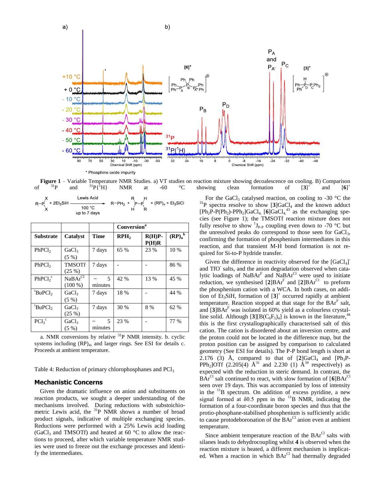

b)

**Figure 1** – Variable Temperature NMR Studies. a) VT studies on reaction mixture showing decoalescence on cooling. B) Comparison <sup>31</sup>P and <sup>31</sup>P {<sup>1</sup>H} NMR at -60 °C showing clean formation of [3]<sup>+</sup> and [6]<sup>+</sup> of  $3^{1}P$  and  $3^{1}P\{^{1}H\}$  NMR at -60  $^{\circ}C$  showing clean formation of [3]  $\lceil 3 \rceil$  and [**6**]  $[6]$ <sup>+</sup>

| Lewis Acid   |                                                                                                                       |  |
|--------------|-----------------------------------------------------------------------------------------------------------------------|--|
|              | $R-P($ + 2Et <sub>3</sub> SiH $\longrightarrow$ R-PH <sub>2</sub> + $P-P($ + (RP) <sub>n</sub> + Et <sub>3</sub> SiCl |  |
| 100 °C       |                                                                                                                       |  |
| up to 7 days |                                                                                                                       |  |

|                                 |                                  |              | <b>Conversion</b> <sup>a</sup> |                   |                      |
|---------------------------------|----------------------------------|--------------|--------------------------------|-------------------|----------------------|
| <b>Substrate</b>                | <b>Catalyst</b>                  | <b>Time</b>  | RPH <sub>2</sub>               | $R(H)P-$<br>P(H)R | $(RP)n$ <sup>b</sup> |
| PhPCl <sub>2</sub>              | GaCl <sub>3</sub><br>$(5 \%)$    | 7 days       | 65 %                           | 23 %              | 10 %                 |
| PhPCl <sub>2</sub>              | <b>TMSOTf</b><br>(25%)           | 7 days       |                                |                   | 86 %                 |
| $PhPCl2$ <sup>c</sup>           | NaBAr <sup>Cl</sup><br>$(100\%)$ | 5<br>minutes | 42 %                           | 13 %              | 45 %                 |
| <sup>t</sup> BuPCl <sub>2</sub> | GaCl <sub>3</sub><br>$(5 \%)$    | 7 days       | 18 %                           |                   | 44 %                 |
| 'BuPC <sub>1</sub>              | GaCl <sub>3</sub><br>(25%)       | 7 days       | 30 %                           | 8 %               | 62 %                 |
| $PCl_3^c$                       | GaCl <sub>3</sub><br>$(5 \%)$    | 5<br>minutes | 23 %                           |                   | 77 %                 |

a. NMR conversions by relative <sup>31</sup>P NMR intensity. b. cyclic systems including  $(RP)_4$ , and larger rings. See ESI for details c. Proceeds at ambient temperature.

Table 4: Reduction of primary chlorophosphanes and  $\overline{PCl}_3$ 

#### **Mechanistic Concerns**

 $a)$ 

Given the dramatic influence on anion and substituents on reaction products, we sought a deeper understanding of the mechanisms involved. During reductions with substoichiometric Lewis acid, the <sup>31</sup>P NMR shows a number of broad product signals, indicative of multiple exchanging species. Reductions were performed with a 25% Lewis acid loading (GaCl<sub>3</sub> and TMSOTf) and heated at 60  $\degree$ C to allow the reactions to proceed, after which variable temperature NMR studies were used to freeze out the exchange processes and identify the intermediates.

For the GaCl<sub>3</sub> catalysed reaction, on cooling to -30  $^{\circ}$ C the  $3^{31}P$  spectra resolve to show [3]GaCl<sub>4</sub> and the known adduct  $[Ph_2P-P(Ph_2)-PPh_2]GaCl_{4}$ ,  $[6]GaCl_{4}^{43}$  as the exchanging species (see Figure 1); the TMSOTf reaction mixture does not fully resolve to show  ${}^{1}J_{P\text{-}P}$  coupling even down to -70 °C but the unresolved peaks do correspond to those seen for GaCl<sub>3</sub>, confirming the formation of phosphenium intermediates in this reaction, and that transient M-H bond formation is not required for Si-to-P hydride transfer.

Given the difference in reactivity observed for the  $[GaCl_4]$ and TfO<sup>-</sup> salts, and the anion degradation observed when catalytic loadings of NaBAr<sup>F</sup> and NaBAr<sup>Cl</sup> were used to initiate reduction, we synthesised  $[2]BAr^F$  and  $[2]BAr^{Cl}$  to preform the phosphenium cation with a WCA. In both cases, on addition of Et<sub>3</sub>SiH, formation of [3]<sup>+</sup> occurred rapidly at ambient temperature. Reaction stopped at that stage for the  $BAr<sup>F</sup>$  salt, and [**3**]BAr<sup>F</sup> was isolated in 60% yield as a colourless crystalline solid. Although  $[3][B(C_6F_5)_4]$  is known in the literature,<sup>44</sup> this is the first crystallographically characterised salt of this cation. The cation is disordered about an inversion centre, and the proton could not be located in the difference map, but the proton position can be assigned by comparison to calculated geometry (See ESI for details). The P-P bond length is short at 2.176 (3)  $\AA$ , compared to that of  $[2]\text{GaCl}_4$  and  $[Ph_3P-$ PPh<sub>2</sub>]OTf (2.205(4)  $A^{31}$  and 2.230 (1)  $A^{39}$  respectively) as expected with the reduction in steric demand. In contrast, the BAr<sup>Cl</sup> salt continued to react, with slow formation of  $[6]BAr^{Cl}$ seen over 19 days. This was accompanied by loss of intensity in the  $11B$  spectrum. On addition of excess pyridine, a new signal formed at  $\delta$ 0.5 ppm in the  $^{11}$ B NMR, indicating the formation of a four-coordinate boron species and thus that the protio-phosphane-stabilised phosphenium is sufficiently acidic to cause protodeboronation of the  $BAr<sup>Cl</sup>$  anion even at ambient temperature.

Since ambient temperature reaction of the  $\text{BAT}^{\text{Cl}}$  salts with silanes leads to dehydrocoupling whilst **4** is observed when the reaction mixture is heated, a different mechanism is implicated. When a reaction in which BAr<sup>Cl</sup> had thermally degraded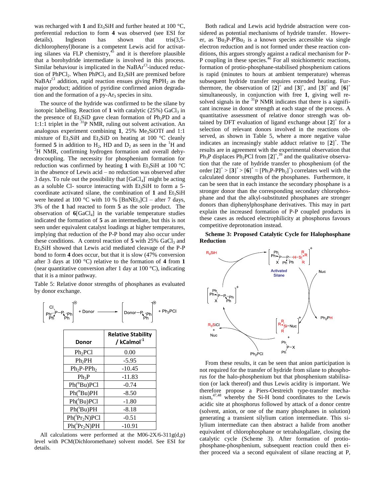was recharged with 1 and  $Et_3SH$  and further heated at 100  $^{\circ}C$ , preferential reduction to form **4** was observed (see ESI for details). Ingleson has shown that tris(3,5 dichlorophenyl)borane is a competent Lewis acid for activating silanes via FLP chemistry, $4<sup>5</sup>$  and it is therefore plausible that a borohydride intermediate is involved in this process. Similar behaviour is implicated in the NaBAr<sup>Cl</sup>-induced reduction of  $PhPCl<sub>2</sub>$ . When  $PhPCl<sub>2</sub>$  and  $Et<sub>3</sub>SiH$  are premixed before NaBAr<sup>Cl</sup> addition, rapid reaction ensues giving  $PhPH_2$  as the major product; addition of pyridine confirmed anion degradation and the formation of a  $py-Ar_3$  species in situ.

The source of the hydride was confirmed to be the silane by isotopic labelling. Reaction of  $1$  with catalytic  $(25%)$  GaCl<sub>3</sub> in the presence of  $Et_3SiD$  gave clean formation of  $Ph_2PD$  and a 1:1:1 triplet in the  ${}^{31}P$  NMR, ruling out solvent activation. An analogous experiment combining  $1, 25\%$  Me<sub>3</sub>SiOTf and 1:1 mixture of Et<sub>3</sub>SiH and Et<sub>3</sub>SiD on heating at 100 °C cleanly formed 5 in addition to  $H_2$ , HD and  $D_2$  as seen in the <sup>1</sup>H and  ${}^{2}$ H NMR, confirming hydrogen formation and overall dehydrocoupling. The necessity for phosphenium formation for reduction was confirmed by heating 1 with Et<sub>3</sub>SiH at 100 °C in the absence of Lewis acid – no reduction was observed after 3 days. To rule out the possibility that [GaCl<sub>4</sub>] might be acting as a soluble Cl- source interacting with  $Et<sub>3</sub>SiH$  to form a 5coordinate activated silane, the combination of  $1$  and  $Et<sub>3</sub>SiH$ were heated at 100 °C with 10 % [BnNEt<sub>3</sub>]Cl – after 7 days, 3% of the **1** had reacted to form **5** as the sole product. The observation of  $6[GaCl_4]$  in the variable temperature studies indicated the formation of **5** as an intermediate, but this is not seen under equivalent catalyst loadings at higher temperatures, implying that reduction of the P-P bond may also occur under these conditions. A control reaction of  $5$  with  $25\%$  GaCl<sub>3</sub> and Et3SiH showed that Lewis acid mediated cleavage of the P-P bond to form **4** does occur, but that it is slow (47% conversion after 3 days at 100 °C) relative to the formation of **4** from **1** (near quantitative conversion after 1 day at 100 °C), indicating that it is a minor pathway.

Table 5: Relative donor strengths of phosphanes as evaluated by donor exchange.



All calculations were performed at the M06-2X/6-311g(d,p) level with PCM(Dichloromethane) solvent model. See ESI for details.

Both radical and Lewis acid hydride abstraction were considered as potential mechanisms of hydride transfer. However, as 'Bu<sub>2</sub>P-P'Bu<sub>2</sub> is a known species accessible via single electron reduction and is not formed under these reaction conditions, this argues strongly against a radical mechanism for P-P coupling in these species.<sup>46</sup> For all stoichiometric reactions, formation of protio-phosphane-stabilised phosphenium cations is rapid (minutes to hours at ambient temperature) whereas subsequent hydride transfer requires extended heating. Furthermore, the observation of  $[2]$ <sup>+</sup> and  $[3]$ <sup>+</sup>, and  $[3]$ <sup>+</sup> and  $[6]$ <sup>+</sup> simultaneously, in conjunction with free **1**, giving well resolved signals in the  ${}^{31}P$  NMR indicates that there is a significant increase in donor strength at each stage of the process. A quantitative assessment of relative donor strength was obtained by DFT evaluation of ligand exchange about [**2**] + for a selection of relevant donors involved in the reactions observed, as shown in Table 5, where a more negative value indicates an increasingly stable adduct relative to  $\left[2\right]^{+}$ . The results are in agreement with the experimental observation that  $Ph_3P$  displaces  $Ph_2PCl$  from  $[2]^+$ ,<sup>39</sup> and the qualitative observation that the rate of hydride transfer to phosphenium (of the order  $[2]^+$  >  $[3]^+$  >  $[6]^+$   $\approx$   $[Ph_3P-PPh_2]^+$ ) correlates well with the calculated donor strengths of the phosphanes. Furthermore, it can be seen that in each instance the secondary phosphane is a stronger donor than the corresponding secondary chlorophosphane and that the alkyl-substituted phosphanes are stronger donors than diphenylphosphane derivatives. This may in part explain the increased formation of P-P coupled products in these cases as reduced electrophilicity at phosphorus favours competitive deprotonation instead.

**Scheme 3: Proposed Catalytic Cycle for Halophosphane Reduction**



From these results, it can be seen that anion participation is not required for the transfer of hydride from silane to phosphorus for the halo-phosphenium but that phosphenium stabilisation (or lack thereof) and thus Lewis acidity is important. We therefore propose a Piers-Oestreich type-transfer mechanism,47,48 whereby the Si-H bond coordinates to the Lewis acidic site at phosphorus followed by attack of a donor centre (solvent, anion, or one of the many phosphanes in solution) generating a transient silylium cation intermediate. This silylium intermediate can then abstract a halide from another equivalent of chlorophosphane or tetrahalogallate, closing the catalytic cycle (Scheme 3). After formation of protiophosphane-phosphenium, subsequent reaction could then either proceed via a second equivalent of silane reacting at P,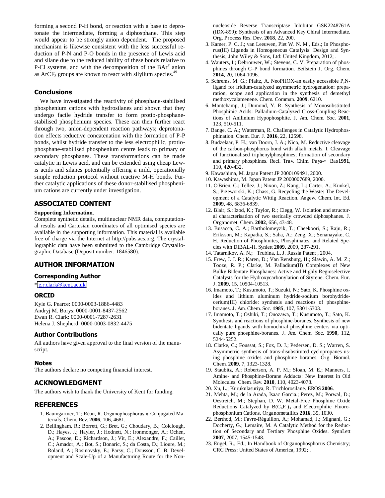forming a second P-H bond, or reaction with a base to deprotonate the intermediate, forming a diphosphane. This step would appear to be strongly anion dependent. The proposed mechanism is likewise consistent with the less successful reduction of P-N and P-O bonds in the presence of Lewis acid and silane due to the reduced lability of these bonds relative to P-Cl systems, and with the decomposition of the  $BAr<sup>F</sup>$  anion as ArCF<sub>3</sub> groups are known to react with silylium species.<sup>49</sup>

#### **Conclusions**

We have investigated the reactivity of phosphane-stabilised phosphenium cations with hydrosilanes and shown that they undergo facile hydride transfer to form protio-phosphanestabilised phosphenium species. These can then further react through two, anion-dependent reaction pathways; deprotonation effects reductive concatenation with the formation of P-P bonds, whilst hydride transfer to the less electrophilic, protiophosphane-stabilised phosphenium centre leads to primary or secondary phosphanes. These transformations can be made catalytic in Lewis acid, and can be extended using cheap Lewis acids and silanes potentially offering a mild, operationally simple reduction protocol without reactive M-H bonds. Further catalytic applications of these donor-stabilised phosphenium cations are currently under investigation.

#### **ASSOCIATED CONTENT**

#### **Supporting Information**.

Complete synthetic details, multinuclear NMR data, computational results and Cartesian coordinates of all optimised species are available in the supporting information. This material is available free of charge via the Internet at http://pubs.acs.org. The crystallographic data have been submitted to the Cambridge Crystallographic Database (Deposit number: 1846580).

#### **AUTHOR INFORMATION**

#### **Corresponding Author**

[\\* e.r.clark@kent.ac.uk](mailto:e.r.clark@kent.ac.uk)

#### **ORCID**

Kyle G. Pearce: 0000-0003-1886-4483 Andryj M. Borys: 0000-0001-8437-2562 Ewan R. Clark: 0000-0001-7287-2631 Helena J. Shepherd: 0000-0003-0832-4475

#### **Author Contributions**

All authors have given approval to the final version of the manuscript.

#### **Notes**

The authors declare no competing financial interest.

#### **ACKNOWLEDGMENT**

The authors wish to thank the University of Kent for funding.

#### **REFERENCES**

- 1. Baumgartner, T.; Réau, R. Organophosphorus  $\pi$ -Conjugated Materials. Chem. Rev. **2006**, 106, 4681.
- 2. Bellingham, R.; Borrett, G.; Bret, G.; Choudary, B.; Colclough, D.; Hayes, J.; Hayler, J.; Hodnett, N.; Ironmonger, A.; Ochen, A.; Pascoe, D.; Richardson, J.; Vit, E.; Alexandre, F.; Caillet, C.; Amador, A.; Bot, S.; Bonaric, S.; da Costa, D.; Lioure, M.; Roland, A.; Rosinovsky, E.; Parsy, C.; Dousson, C. B. Development and Scale-Up of a Manufacturing Route for the Non-

nucleoside Reverse Transcriptase Inhibitor GSK2248761A (IDX-899): Synthesis of an Advanced Key Chiral Intermediate. Org. Process Res. Dev. **2018**, 22, 200.

- 3. Kamer, P. C. J.; van Leeuwen, Piet W. N. M., Eds.; In Phosphorus(III) Ligands in Homogeneous Catalysis: Design and Synthesis; John Wiley & Sons, Ltd: United Kingdom, 2012; .
- 4. Wauters, I.; Debrouwer, W.; Stevens, C. V. Preparation of phosphines through C–P bond formation. Beilstein J. Org. Chem. **2014**, 20, 1064-1096.
- 5. Schrems, M. G.; Pfaltz, A. NeoPHOX-an easily accessible P,Nligand for iridium-catalyzed asymmetric hydrogenation: preparation, scope and application in the synthesis of demethyl methoxycalamenene. Chem. Commun. **2009**, 6210.
- 6. Montchamp, J.; Dumond, Y. R. Synthesis of Monosubstituted Phosphinic Acids: Palladium-Catalyzed Cross-Coupling Reactions of Anilinium Hypophosphite. J. Am. Chem. Soc. **2001**, 123, 510-511.
- 7. Bange, C. A.; Waterman, R. Challenges in Catalytic Hydrophosphination. Chem. Eur. J. **2016**, 22, 12598.
- 8. Budzelaar, P. H.; van Doorn, J. A.; Nico, M. Reductive cleavage of the carbon-phosphorus bond with alkali metals. I. Cleavage of functionalised triphenylphosphines; formation of secondary and primary phosphines. Recl. Trav. Chim. Pays-• Bas**1991**, 110, 420-432.
- 9. Kawashima, M. Japan Patent JP 2000109491, 2000.
- 10. Kawashima, M. Japan Patent JP 2000007689, 2000.
- 11. O'Brien, C.; Tellez, J.; Nixon, Z.; Kang, L.; Carter, A.; Kunkel, S.; Przeworski, K.; Chass, G. Recycling the Waste: The Development of a Catalytic Wittig Reaction. Angew. Chem. Int. Ed. **2009**, 48, 6836-6839.
- 12. Blair, S.; Izod, K.; Taylor, R.; Clegg, W. Isolation and structural characterisation of two sterically crowded diphosphanes. J. Organomet. Chem. **2002**, 656, 43-48.
- 13. Busacca, C. A.; Bartholomeyzik, T.; Cheekoori, S.; Raju, R.; Eriksson, M.; Kapadia, S.; Saha, A.; Zeng, X.; Senanayake, C. H. Reduction of Phosphinites, Phosphinates, and Related Species with DIBAL-H. Synlett **2009**, 2009, 287-291.
- 14. Tatarnikov, A. N.; Trubina, L. J. Russia Patent , 2004.
- 15. Frew, J. J. R.; Karen, D.; Van Rensburg, H.; Slawin, A. M. Z.; Tooze, R. P.; Clarke, M. Palladium(II) Complexes of New Bulky Bidentate Phosphanes: Active and Highly Regioselective Catalysts for the Hydroxycarbonylation of Styrene. Chem. Eur. J. **2009**, 15, 10504-10513.
- 16. Imamoto, T.; Kusumoto, T.; Suzuki, N.; Sato, K. Phosphine oxides and lithium aluminum hydride-sodium borohydridecerium(III) chloride: synthesis and reactions of phosphineboranes. J. Am. Chem. Soc. **1985**, 107, 5301-5303.
- 17. Imamoto, T.; Oshiki, T.; Onozawa, T.; Kusumoto, T.; Sato, K. Synthesis and reactions of phosphine-boranes. Synthesis of new bidentate ligands with homochiral phosphine centers via optically pure phosphine-boranes. J. Am. Chem. Soc. **1990**, 112, 5244-5252.
- 18. Clarke, C.; Foussat, S.; Fox, D. J.; Pedersen, D. S.; Warren, S. Asymmetric synthesis of trans-disubstituted cyclopropanes using phosphine oxides and phosphine boranes. Org. Biomol. Chem. **2009**, 7, 1323-1328.
- 19. Staubitz, A.; Robertson, A. P. M.; Sloan, M. E.; Manners, I. Amine- and Phosphine-Borane Adducts: New Interest in Old Molecules. Chem. Rev. **2010**, 110, 4023-4078.
- 20. Xu, L.; Kurukulasuriya, R. Trichlorosilane. EROS **2006**.
- 21. Mehta, M.; de la Arada, Isaac Garcia.; Perez, M.; Porwal, D.; Oestreich, M.; Stephan, D. W. Metal-Free Phosphine Oxide Reductions Catalyzed by  $B(C_6F_5)$  and Electrophilic Fluorophosphonium Cations. Organometallics **2016**, 35, 1030.
- 22. Berthod, M.; Favre-Réguillon, A.; Mohamad, J.; Mignani, G.; Docherty, G.; Lemaire, M. A Catalytic Method for the Reduction of Secondary and Tertiary Phosphine Oxides. SynnLett **2007**, 2007, 1545-1548.
- 23. Engel, R., Ed.; In Handbook of Organophosphorus Chemistry; CRC Press: United States of America, 1992; .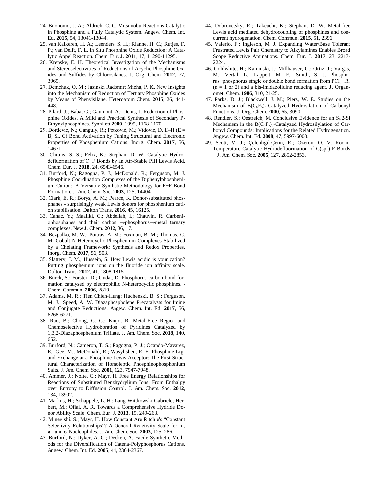- 24. Buonomo, J. A.; Aldrich, C. C. Mitsunobu Reactions Catalytic in Phosphine and a Fully Catalytic System. Angew. Chem. Int. Ed. **2015**, 54, 13041-13044.
- 25. van Kalkeren, H. A.; Leenders, S. H.; Rianne, H. C.; Rutjes, F. P.; van Delft, F. L. In Situ Phosphine Oxide Reduction: A Catalytic Appel Reaction. Chem. Eur. J. **2011**, 17, 11290-11295.
- 26. Krenske, E. H. Theoretical Investigation of the Mechanisms and Stereoselectivities of Reductions of Acyclic Phosphine Oxides and Sulfides by Chlorosilanes. J. Org. Chem. **2012**, 77, 3969.
- 27. Demchuk, O. M.; Jasiński Radomir; Micha, P. K. New Insights into the Mechanism of Reduction of Tertiary Phosphine Oxides by Means of Phenylsilane. Heteroatom Chem. **2015**, 26, 441- 448.
- 28. Pilard, J.; Baba, G.; Gaumont, A.; Denis, J. Reduction of Phosphine Oxides, A Mild and Practical Synthesis of Secondary P-Ethynylphosphines. SynnLett **2000**, 1995, 1168-1170.
- 29. Aorđević, N.; Ganguly, R.; Petković, M.; Vidović, D. E–H (E = B, Si, C) Bond Activation by Tuning Structural and Electronic Properties of Phosphenium Cations. Inorg. Chem. **2017**, 56, 14671.
- 30. Chitnis, S. S.; Felix, K.; Stephan, D. W. Catalytic Hydrodefluorination of C−F Bonds by an Air-Stable PIII Lewis Acid. Chem. Eur. J. **2018**, 24, 6543-6546.
- 31. Burford, N.; Ragogna, P. J.; McDonald, R.; Ferguson, M. J. Phosphine Coordination Complexes of the Diphenylphosphenium Cation: A Versatile Synthetic Methodology for P-P Bond Formation. J. Am. Chem. Soc. **2003**, 125, 14404.
- 32. Clark, E. R.; Borys, A. M.; Pearce, K. Donor-substituted phosphanes - surprisingly weak Lewis donors for phosphenium cation stabilisation. Dalton Trans. **2016**, 45, 16125.
- 33. Canac, Y.; Maaliki, C.; Abdellah, I.; Chauvin, R. Carbeniophosphanes and their carbon  $\rightarrow$ phosphorus $\rightarrow$ metal ternary complexes. New J. Chem. **2012**, 36, 17.
- 34. Bezpalko, M. W.; Poitras, A. M.; Foxman, B. M.; Thomas, C. M. Cobalt N-Heterocyclic Phosphenium Complexes Stabilized by a Chelating Framework: Synthesis and Redox Properties. Inorg. Chem. **2017**, 56, 503.
- 35. Slattery, J. M.; Hussein, S. How Lewis acidic is your cation? Putting phosphenium ions on the fluoride ion affinity scale. Dalton Trans. **2012**, 41, 1808-1815.
- 36. Burck, S.; Forster, D.; Gudat, D. Phosphorus-carbon bond formation catalysed by electrophilic N-heterocyclic phosphines. - Chem. Commun. **2006**, 2810.
- 37. Adams, M. R.; Tien Chieh-Hung; Huchenski, B. S.; Ferguson, M. J.; Speed, A. W. Diazaphospholene Precatalysts for Imine and Conjugate Reductions. Angew. Chem. Int. Ed. **2017**, 56, 6268-6271.
- 38. Rao, B.; Chong, C. C.; Kinjo, R. Metal-Free Regio- and Chemoselective Hydroboration of Pyridines Catalyzed by 1,3,2-Diazaphosphenium Triflate. J. Am. Chem. Soc. **2018**, 140, 652.
- 39. Burford, N.; Cameron, T. S.; Ragogna, P. J.; Ocando-Mavarez, E.; Gee, M.; McDonald, R.; Wasylishen, R. E. Phosphine Ligand Exchange at a Phosphine Lewis Acceptor: The First Structural Characterization of Homoleptic Phosphinophosphonium Salts. J. Am. Chem. Soc. **2001**, 123, 7947-7948.
- 40. Ammer, J.; Nolte, C.; Mayr, H. Free Energy Relationships for Reactions of Substituted Benzhydrylium Ions: From Enthalpy over Entropy to Diffusion Control. J. Am. Chem. Soc. **2012**, 134, 13902.
- 41. Markus, H.; Schappele, L. H.; Lang-Wittkowski Gabriele; Herbert, M.; Ofial, A. R. Towards a Comprehensive Hydride Donor Ability Scale. Chem. Eur. J. **2013**, 19, 249-263.
- 42. Minegishi, S.; Mayr, H. How Constant Are Ritchie's "Constant Selectivity Relationships"? A General Reactivity Scale for n-, ヾ-, and j-Nucleophiles. J. Am. Chem. Soc. **2003**, 125, 286.
- 43. Burford, N.; Dyker, A. C.; Decken, A. Facile Synthetic Methods for the Diversification of Catena-Polyphosphorus Cations. Angew. Chem. Int. Ed. **2005**, 44, 2364-2367.
- 44. Dobrovetsky, R.; Takeuchi, K.; Stephan, D. W. Metal-free Lewis acid mediated dehydrocoupling of phosphines and concurrent hydrogenation. Chem. Commun. **2015**, 51, 2396.
- 45. Valerio, F.; Ingleson, M. J. Expanding Water/Base Tolerant Frustrated Lewis Pair Chemistry to Alkylamines Enables Broad Scope Reductive Aminations. Chem. Eur. J. **2017**, 23, 2217- 2224.
- 46. Goldwhite, H.; Kaminski, J.; Millhauser, G.; Ortiz, J.; Vargas, M.; Vertal, L.; Lappert, M. F.; Smith, S. J. Phosphorus−phosphorus single or double bond formation from PCl<sub>3−n</sub>R<sub>n</sub>  $(n = 1 \text{ or } 2)$  and a bis-imidazolidine reducing agent. J. Organomet. Chem. **1986**, 310, 21-25.
- 47. Parks, D. J.; Blackwell, J. M.; Piers, W. E. Studies on the Mechanism of  $B(C_6F_5)_3$ -Catalyzed Hydrosilation of Carbonyl Functions. J. Org. Chem. **2000**, 65, 3090.
- 48. Rendler, S.; Oestreich, M. Conclusive Evidence for an  $S<sub>N</sub>2-Si$ Mechanism in the  $B(C_6F_5)_3$ -Catalyzed Hydrosilylation of Carbonyl Compounds: Implications for the Related Hydrogenation. Angew. Chem. Int. Ed. **2008**, 47, 5997-6000.
- 49. Scott, V. J.; Çelenligil-Çetin, R.; Ozerov, O. V. Room-Temperature Catalytic Hydrodefluorination of  $C(sp^3)$ -F Bonds . J. Am. Chem. Soc. **2005**, 127, 2852-2853.